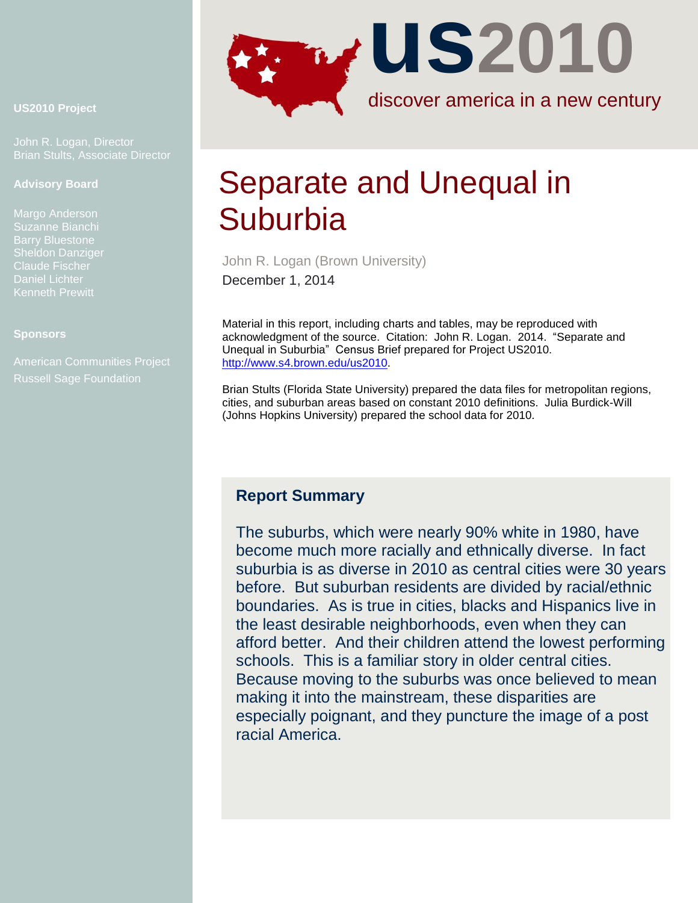

John R. Logan, Director Brian Stults, Associate Director

#### **Advisory Board**

Margo Anderson Suzanne Bianchi Daniel Lichter Kenneth Prewitt

#### **Sponsors**

Russell Sage Foundation



# Separate and Unequal in **Suburbia**

John R. Logan (Brown University) December 1, 2014

Material in this report, including charts and tables, may be reproduced with acknowledgment of the source. Citation: John R. Logan. 2014. "Separate and Unequal in Suburbia" Census Brief prepared for Project US2010. [http://www.s4.brown.edu/us2010.](http://www.s4.brown.edu/us2010)

Brian Stults (Florida State University) prepared the data files for metropolitan regions, cities, and suburban areas based on constant 2010 definitions. Julia Burdick-Will (Johns Hopkins University) prepared the school data for 2010.

# **Report Summary**

The suburbs, which were nearly 90% white in 1980, have become much more racially and ethnically diverse. In fact suburbia is as diverse in 2010 as central cities were 30 years before. But suburban residents are divided by racial/ethnic boundaries. As is true in cities, blacks and Hispanics live in the least desirable neighborhoods, even when they can afford better. And their children attend the lowest performing schools. This is a familiar story in older central cities. Because moving to the suburbs was once believed to mean making it into the mainstream, these disparities are especially poignant, and they puncture the image of a post racial America.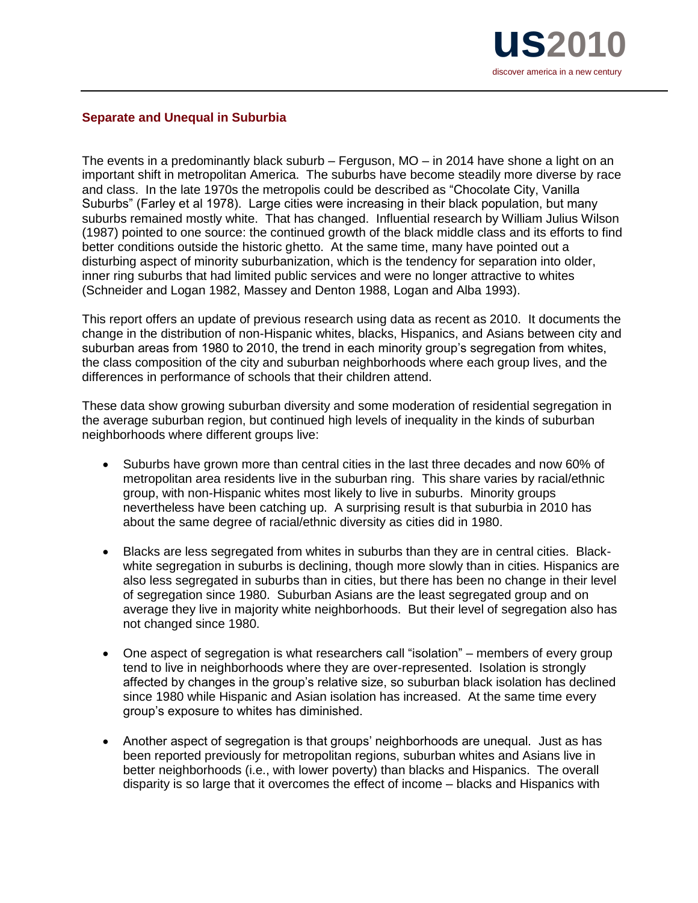

#### **Separate and Unequal in Suburbia**

The events in a predominantly black suburb – Ferguson, MO – in 2014 have shone a light on an important shift in metropolitan America. The suburbs have become steadily more diverse by race and class. In the late 1970s the metropolis could be described as "Chocolate City, Vanilla Suburbs" (Farley et al 1978). Large cities were increasing in their black population, but many suburbs remained mostly white. That has changed. Influential research by William Julius Wilson (1987) pointed to one source: the continued growth of the black middle class and its efforts to find better conditions outside the historic ghetto. At the same time, many have pointed out a disturbing aspect of minority suburbanization, which is the tendency for separation into older, inner ring suburbs that had limited public services and were no longer attractive to whites (Schneider and Logan 1982, Massey and Denton 1988, Logan and Alba 1993).

This report offers an update of previous research using data as recent as 2010. It documents the change in the distribution of non-Hispanic whites, blacks, Hispanics, and Asians between city and suburban areas from 1980 to 2010, the trend in each minority group's segregation from whites, the class composition of the city and suburban neighborhoods where each group lives, and the differences in performance of schools that their children attend.

These data show growing suburban diversity and some moderation of residential segregation in the average suburban region, but continued high levels of inequality in the kinds of suburban neighborhoods where different groups live:

- Suburbs have grown more than central cities in the last three decades and now 60% of metropolitan area residents live in the suburban ring. This share varies by racial/ethnic group, with non-Hispanic whites most likely to live in suburbs. Minority groups nevertheless have been catching up. A surprising result is that suburbia in 2010 has about the same degree of racial/ethnic diversity as cities did in 1980.
- Blacks are less segregated from whites in suburbs than they are in central cities. Blackwhite segregation in suburbs is declining, though more slowly than in cities. Hispanics are also less segregated in suburbs than in cities, but there has been no change in their level of segregation since 1980. Suburban Asians are the least segregated group and on average they live in majority white neighborhoods. But their level of segregation also has not changed since 1980.
- One aspect of segregation is what researchers call "isolation" members of every group tend to live in neighborhoods where they are over-represented. Isolation is strongly affected by changes in the group's relative size, so suburban black isolation has declined since 1980 while Hispanic and Asian isolation has increased. At the same time every group's exposure to whites has diminished.
- Another aspect of segregation is that groups' neighborhoods are unequal. Just as has been reported previously for metropolitan regions, suburban whites and Asians live in better neighborhoods (i.e., with lower poverty) than blacks and Hispanics. The overall disparity is so large that it overcomes the effect of income – blacks and Hispanics with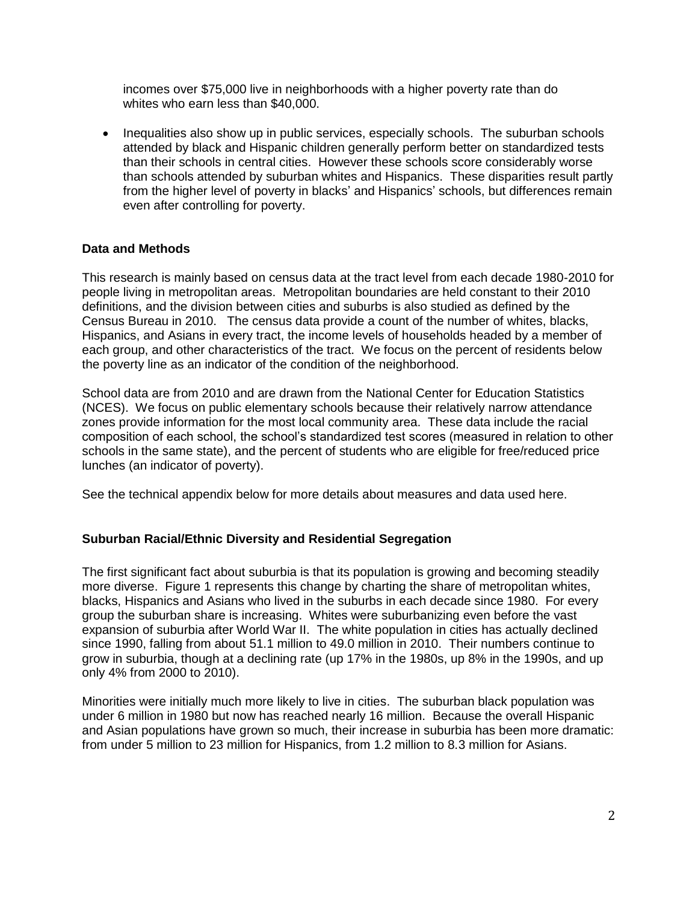incomes over \$75,000 live in neighborhoods with a higher poverty rate than do whites who earn less than \$40,000.

• Inequalities also show up in public services, especially schools. The suburban schools attended by black and Hispanic children generally perform better on standardized tests than their schools in central cities. However these schools score considerably worse than schools attended by suburban whites and Hispanics. These disparities result partly from the higher level of poverty in blacks' and Hispanics' schools, but differences remain even after controlling for poverty.

### **Data and Methods**

This research is mainly based on census data at the tract level from each decade 1980-2010 for people living in metropolitan areas. Metropolitan boundaries are held constant to their 2010 definitions, and the division between cities and suburbs is also studied as defined by the Census Bureau in 2010. The census data provide a count of the number of whites, blacks, Hispanics, and Asians in every tract, the income levels of households headed by a member of each group, and other characteristics of the tract. We focus on the percent of residents below the poverty line as an indicator of the condition of the neighborhood.

School data are from 2010 and are drawn from the National Center for Education Statistics (NCES). We focus on public elementary schools because their relatively narrow attendance zones provide information for the most local community area. These data include the racial composition of each school, the school's standardized test scores (measured in relation to other schools in the same state), and the percent of students who are eligible for free/reduced price lunches (an indicator of poverty).

See the technical appendix below for more details about measures and data used here.

#### **Suburban Racial/Ethnic Diversity and Residential Segregation**

The first significant fact about suburbia is that its population is growing and becoming steadily more diverse. Figure 1 represents this change by charting the share of metropolitan whites, blacks, Hispanics and Asians who lived in the suburbs in each decade since 1980. For every group the suburban share is increasing. Whites were suburbanizing even before the vast expansion of suburbia after World War II. The white population in cities has actually declined since 1990, falling from about 51.1 million to 49.0 million in 2010. Their numbers continue to grow in suburbia, though at a declining rate (up 17% in the 1980s, up 8% in the 1990s, and up only 4% from 2000 to 2010).

Minorities were initially much more likely to live in cities. The suburban black population was under 6 million in 1980 but now has reached nearly 16 million. Because the overall Hispanic and Asian populations have grown so much, their increase in suburbia has been more dramatic: from under 5 million to 23 million for Hispanics, from 1.2 million to 8.3 million for Asians.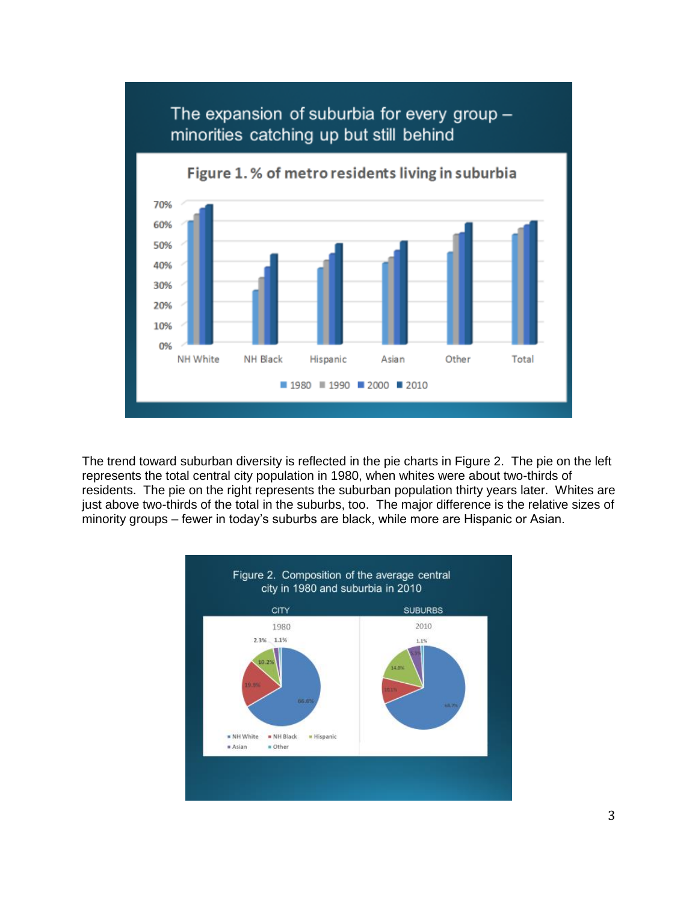

The trend toward suburban diversity is reflected in the pie charts in Figure 2. The pie on the left represents the total central city population in 1980, when whites were about two-thirds of residents. The pie on the right represents the suburban population thirty years later. Whites are just above two-thirds of the total in the suburbs, too. The major difference is the relative sizes of minority groups – fewer in today's suburbs are black, while more are Hispanic or Asian.

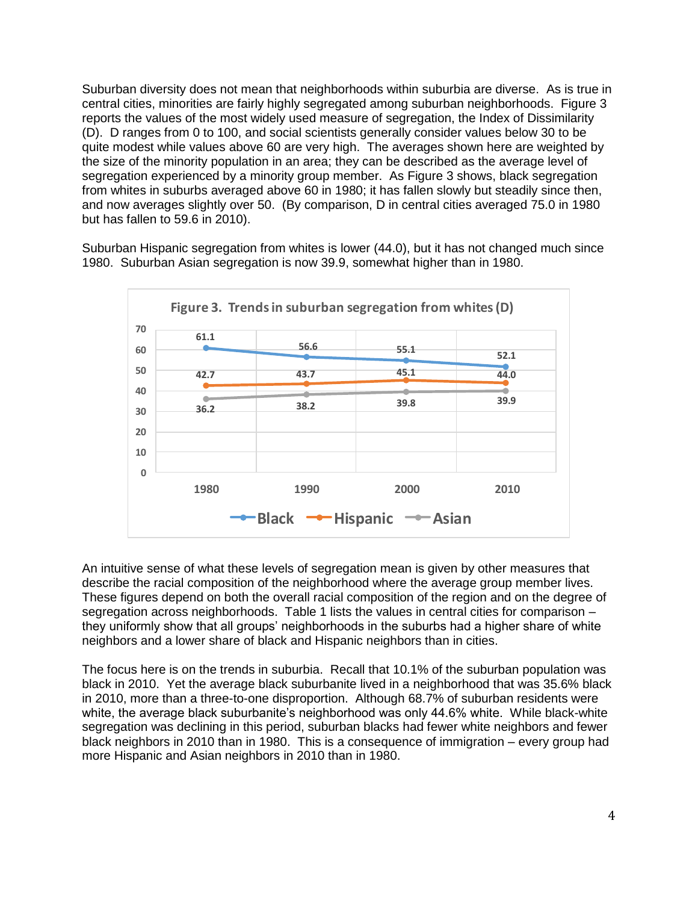Suburban diversity does not mean that neighborhoods within suburbia are diverse. As is true in central cities, minorities are fairly highly segregated among suburban neighborhoods. Figure 3 reports the values of the most widely used measure of segregation, the Index of Dissimilarity (D). D ranges from 0 to 100, and social scientists generally consider values below 30 to be quite modest while values above 60 are very high. The averages shown here are weighted by the size of the minority population in an area; they can be described as the average level of segregation experienced by a minority group member. As Figure 3 shows, black segregation from whites in suburbs averaged above 60 in 1980; it has fallen slowly but steadily since then, and now averages slightly over 50. (By comparison, D in central cities averaged 75.0 in 1980 but has fallen to 59.6 in 2010).

Suburban Hispanic segregation from whites is lower (44.0), but it has not changed much since 1980. Suburban Asian segregation is now 39.9, somewhat higher than in 1980.



An intuitive sense of what these levels of segregation mean is given by other measures that describe the racial composition of the neighborhood where the average group member lives. These figures depend on both the overall racial composition of the region and on the degree of segregation across neighborhoods. Table 1 lists the values in central cities for comparison – they uniformly show that all groups' neighborhoods in the suburbs had a higher share of white neighbors and a lower share of black and Hispanic neighbors than in cities.

The focus here is on the trends in suburbia. Recall that 10.1% of the suburban population was black in 2010. Yet the average black suburbanite lived in a neighborhood that was 35.6% black in 2010, more than a three-to-one disproportion. Although 68.7% of suburban residents were white, the average black suburbanite's neighborhood was only 44.6% white. While black-white segregation was declining in this period, suburban blacks had fewer white neighbors and fewer black neighbors in 2010 than in 1980. This is a consequence of immigration – every group had more Hispanic and Asian neighbors in 2010 than in 1980.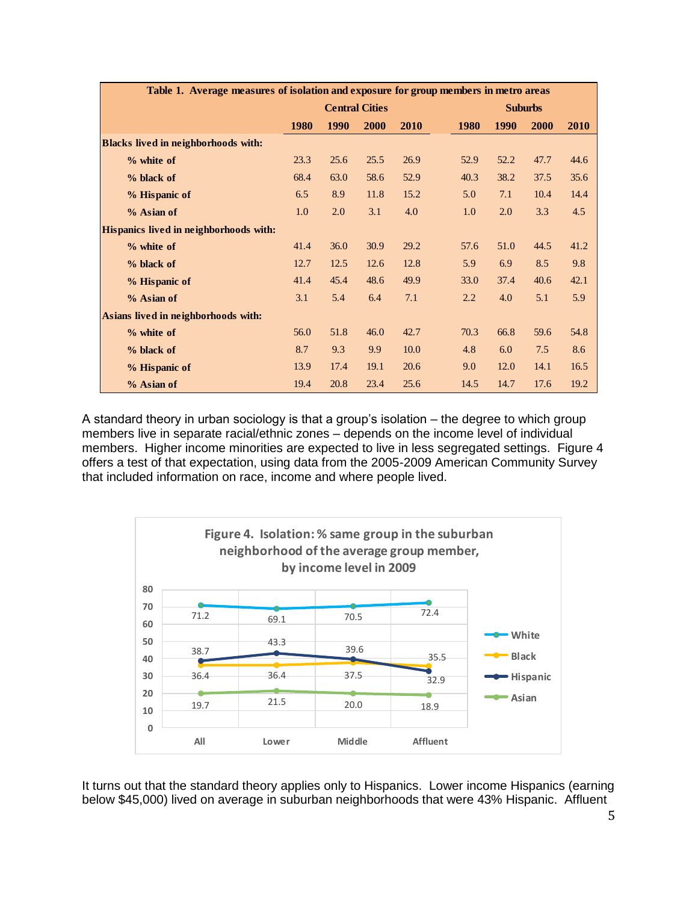| Table 1. Average measures of isolation and exposure for group members in metro areas |                       |      |      |             |  |                |             |      |             |  |
|--------------------------------------------------------------------------------------|-----------------------|------|------|-------------|--|----------------|-------------|------|-------------|--|
|                                                                                      | <b>Central Cities</b> |      |      |             |  | <b>Suburbs</b> |             |      |             |  |
|                                                                                      | <b>1980</b>           | 1990 | 2000 | <b>2010</b> |  | <b>1980</b>    | <b>1990</b> | 2000 | <b>2010</b> |  |
| <b>Blacks lived in neighborhoods with:</b>                                           |                       |      |      |             |  |                |             |      |             |  |
| $%$ white of                                                                         | 23.3                  | 25.6 | 25.5 | 26.9        |  | 52.9           | 52.2        | 47.7 | 44.6        |  |
| % black of                                                                           | 68.4                  | 63.0 | 58.6 | 52.9        |  | 40.3           | 38.2        | 37.5 | 35.6        |  |
| % Hispanic of                                                                        | 6.5                   | 8.9  | 11.8 | 15.2        |  | 5.0            | 7.1         | 10.4 | 14.4        |  |
| % Asian of                                                                           | 1.0                   | 2.0  | 3.1  | 4.0         |  | 1.0            | 2.0         | 3.3  | 4.5         |  |
| Hispanics lived in neighborhoods with:                                               |                       |      |      |             |  |                |             |      |             |  |
| % white of                                                                           | 41.4                  | 36.0 | 30.9 | 29.2        |  | 57.6           | 51.0        | 44.5 | 41.2        |  |
| % black of                                                                           | 12.7                  | 12.5 | 12.6 | 12.8        |  | 5.9            | 6.9         | 8.5  | 9.8         |  |
| % Hispanic of                                                                        | 41.4                  | 45.4 | 48.6 | 49.9        |  | 33.0           | 37.4        | 40.6 | 42.1        |  |
| % Asian of                                                                           | 3.1                   | 5.4  | 6.4  | 7.1         |  | 2.2            | 4.0         | 5.1  | 5.9         |  |
| Asians lived in neighborhoods with:                                                  |                       |      |      |             |  |                |             |      |             |  |
| $%$ white of                                                                         | 56.0                  | 51.8 | 46.0 | 42.7        |  | 70.3           | 66.8        | 59.6 | 54.8        |  |
| % black of                                                                           | 8.7                   | 9.3  | 9.9  | 10.0        |  | 4.8            | 6.0         | 7.5  | 8.6         |  |
| % Hispanic of                                                                        | 13.9                  | 17.4 | 19.1 | 20.6        |  | 9.0            | 12.0        | 14.1 | 16.5        |  |
| % Asian of                                                                           | 19.4                  | 20.8 | 23.4 | 25.6        |  | 14.5           | 14.7        | 17.6 | 19.2        |  |

A standard theory in urban sociology is that a group's isolation – the degree to which group members live in separate racial/ethnic zones – depends on the income level of individual members. Higher income minorities are expected to live in less segregated settings. Figure 4 offers a test of that expectation, using data from the 2005-2009 American Community Survey that included information on race, income and where people lived.



It turns out that the standard theory applies only to Hispanics. Lower income Hispanics (earning below \$45,000) lived on average in suburban neighborhoods that were 43% Hispanic. Affluent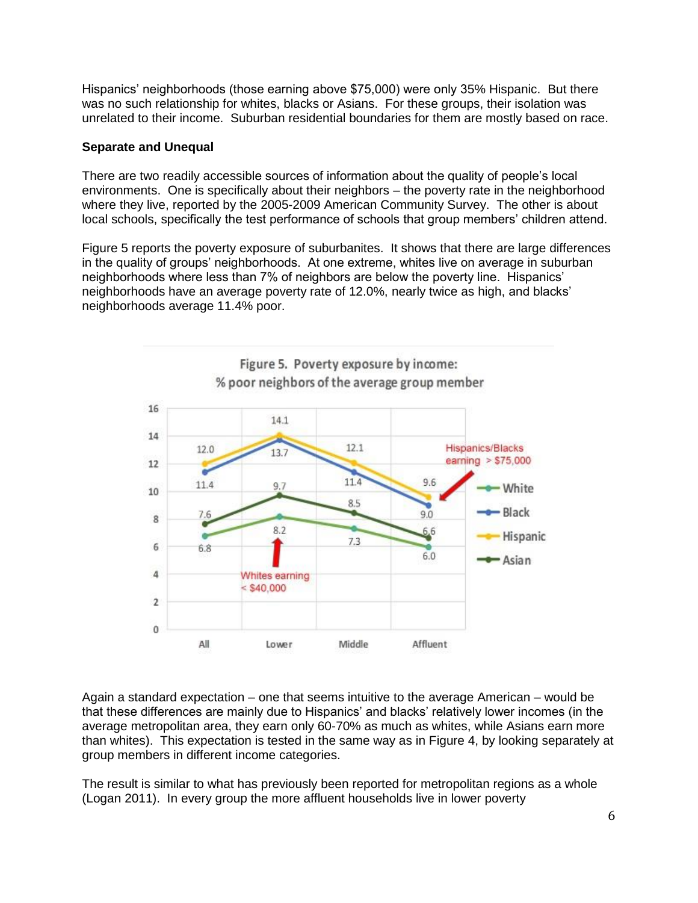Hispanics' neighborhoods (those earning above \$75,000) were only 35% Hispanic. But there was no such relationship for whites, blacks or Asians. For these groups, their isolation was unrelated to their income. Suburban residential boundaries for them are mostly based on race.

#### **Separate and Unequal**

There are two readily accessible sources of information about the quality of people's local environments. One is specifically about their neighbors – the poverty rate in the neighborhood where they live, reported by the 2005-2009 American Community Survey. The other is about local schools, specifically the test performance of schools that group members' children attend.

Figure 5 reports the poverty exposure of suburbanites. It shows that there are large differences in the quality of groups' neighborhoods. At one extreme, whites live on average in suburban neighborhoods where less than 7% of neighbors are below the poverty line. Hispanics' neighborhoods have an average poverty rate of 12.0%, nearly twice as high, and blacks' neighborhoods average 11.4% poor.



Again a standard expectation – one that seems intuitive to the average American – would be that these differences are mainly due to Hispanics' and blacks' relatively lower incomes (in the average metropolitan area, they earn only 60-70% as much as whites, while Asians earn more than whites). This expectation is tested in the same way as in Figure 4, by looking separately at group members in different income categories.

The result is similar to what has previously been reported for metropolitan regions as a whole (Logan 2011). In every group the more affluent households live in lower poverty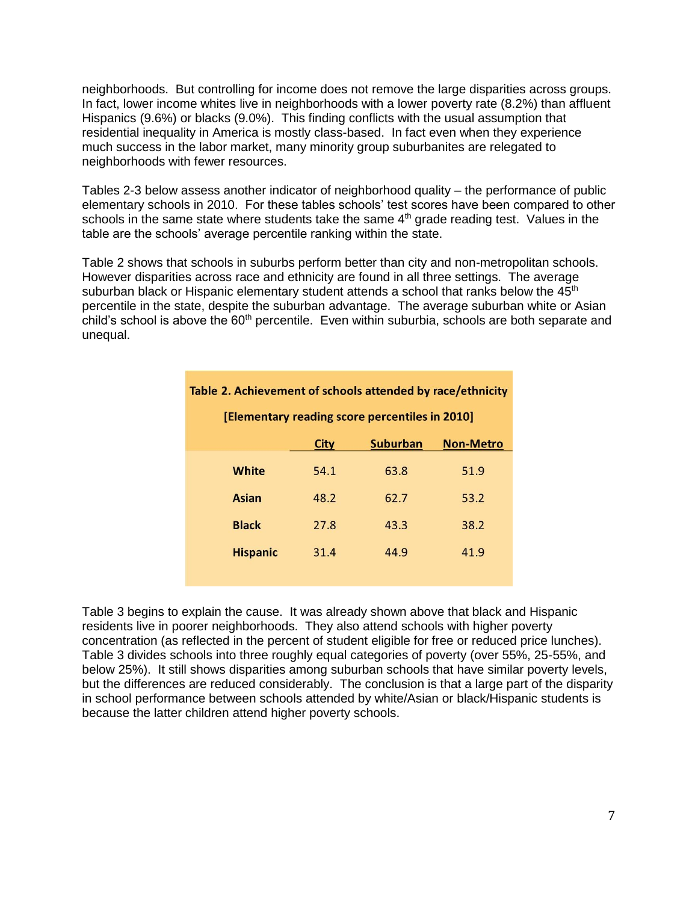neighborhoods. But controlling for income does not remove the large disparities across groups. In fact, lower income whites live in neighborhoods with a lower poverty rate (8.2%) than affluent Hispanics (9.6%) or blacks (9.0%). This finding conflicts with the usual assumption that residential inequality in America is mostly class-based. In fact even when they experience much success in the labor market, many minority group suburbanites are relegated to neighborhoods with fewer resources.

Tables 2-3 below assess another indicator of neighborhood quality – the performance of public elementary schools in 2010. For these tables schools' test scores have been compared to other schools in the same state where students take the same  $4<sup>th</sup>$  grade reading test. Values in the table are the schools' average percentile ranking within the state.

Table 2 shows that schools in suburbs perform better than city and non-metropolitan schools. However disparities across race and ethnicity are found in all three settings. The average suburban black or Hispanic elementary student attends a school that ranks below the  $45<sup>th</sup>$ percentile in the state, despite the suburban advantage. The average suburban white or Asian child's school is above the 60<sup>th</sup> percentile. Even within suburbia, schools are both separate and unequal.

| Table 2. Achievement of schools attended by race/ethnicity |             |                 |                  |  |  |  |  |
|------------------------------------------------------------|-------------|-----------------|------------------|--|--|--|--|
| [Elementary reading score percentiles in 2010]             |             |                 |                  |  |  |  |  |
|                                                            | <b>City</b> | <b>Suburban</b> | <b>Non-Metro</b> |  |  |  |  |
| White                                                      | 54.1        | 63.8            | 51.9             |  |  |  |  |
| Asian                                                      | 48.2        | 62.7            | 53.2             |  |  |  |  |
| <b>Black</b>                                               | 27.8        | 43.3            | 38.2             |  |  |  |  |
| <b>Hispanic</b>                                            | 31.4        | 44.9            | 41.9             |  |  |  |  |
|                                                            |             |                 |                  |  |  |  |  |

Table 3 begins to explain the cause. It was already shown above that black and Hispanic residents live in poorer neighborhoods. They also attend schools with higher poverty concentration (as reflected in the percent of student eligible for free or reduced price lunches). Table 3 divides schools into three roughly equal categories of poverty (over 55%, 25-55%, and below 25%). It still shows disparities among suburban schools that have similar poverty levels, but the differences are reduced considerably. The conclusion is that a large part of the disparity in school performance between schools attended by white/Asian or black/Hispanic students is because the latter children attend higher poverty schools.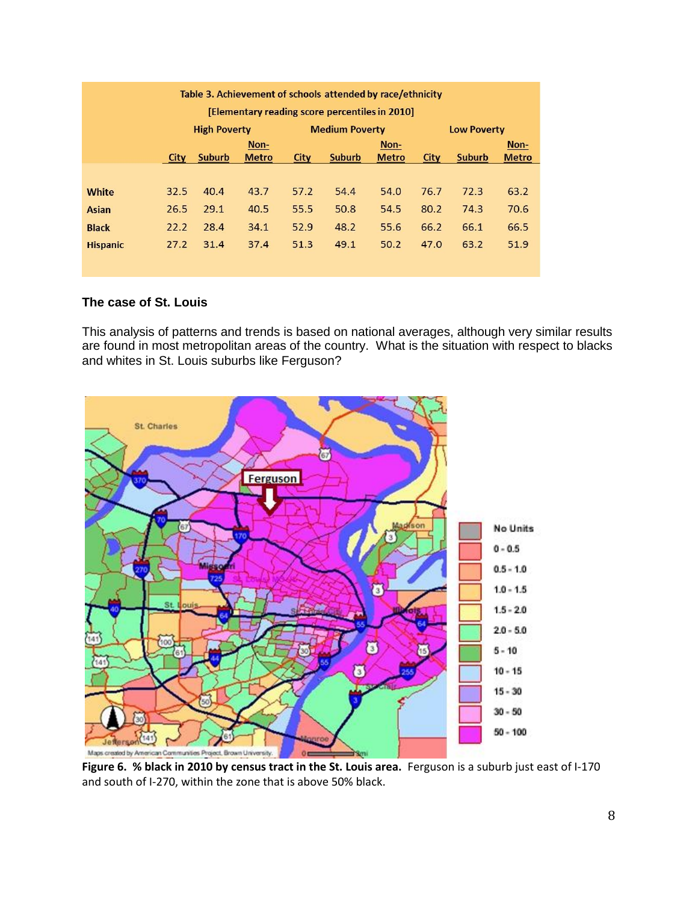| Table 3. Achievement of schools attended by race/ethnicity |      |                     |              |      |                       |              |      |                    |              |  |
|------------------------------------------------------------|------|---------------------|--------------|------|-----------------------|--------------|------|--------------------|--------------|--|
| [Elementary reading score percentiles in 2010]             |      |                     |              |      |                       |              |      |                    |              |  |
|                                                            |      | <b>High Poverty</b> |              |      | <b>Medium Poverty</b> |              |      | <b>Low Poverty</b> |              |  |
|                                                            |      | Non-                |              |      | Non-                  |              |      | Non-               |              |  |
|                                                            | City | Suburb              | <b>Metro</b> | City | <b>Suburb</b>         | <b>Metro</b> | City | Suburb             | <b>Metro</b> |  |
|                                                            |      |                     |              |      |                       |              |      |                    |              |  |
| <b>White</b>                                               | 32.5 | 40.4                | 43.7         | 57.2 | 54.4                  | 54.0         | 76.7 | 72.3               | 63.2         |  |
| <b>Asian</b>                                               | 26.5 | 29.1                | 40.5         | 55.5 | 50.8                  | 54.5         | 80.2 | 74.3               | 70.6         |  |
| <b>Black</b>                                               | 22.2 | 28.4                | 34.1         | 52.9 | 48.2                  | 55.6         | 66.2 | 66.1               | 66.5         |  |
| <b>Hispanic</b>                                            | 27.2 | 31.4                | 37.4         | 51.3 | 49.1                  | 50.2         | 47.0 | 63.2               | 51.9         |  |
|                                                            |      |                     |              |      |                       |              |      |                    |              |  |

## **The case of St. Louis**

This analysis of patterns and trends is based on national averages, although very similar results are found in most metropolitan areas of the country. What is the situation with respect to blacks and whites in St. Louis suburbs like Ferguson?



**Figure 6. % black in 2010 by census tract in the St. Louis area.** Ferguson is a suburb just east of I-170 and south of I-270, within the zone that is above 50% black.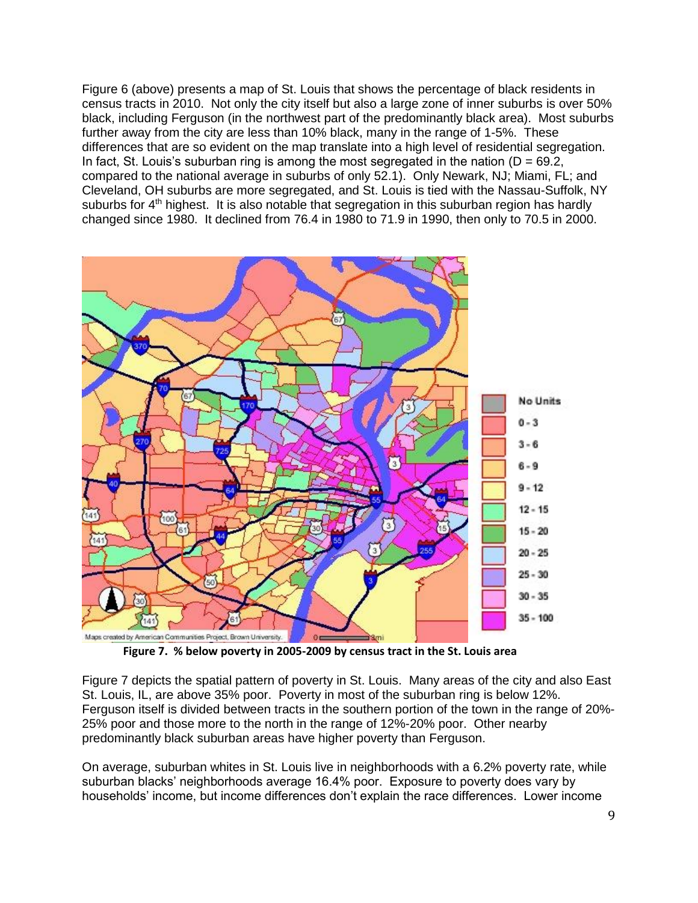Figure 6 (above) presents a map of St. Louis that shows the percentage of black residents in census tracts in 2010. Not only the city itself but also a large zone of inner suburbs is over 50% black, including Ferguson (in the northwest part of the predominantly black area). Most suburbs further away from the city are less than 10% black, many in the range of 1-5%. These differences that are so evident on the map translate into a high level of residential segregation. In fact, St. Louis's suburban ring is among the most segregated in the nation ( $D = 69.2$ , compared to the national average in suburbs of only 52.1). Only Newark, NJ; Miami, FL; and Cleveland, OH suburbs are more segregated, and St. Louis is tied with the Nassau-Suffolk, NY suburbs for  $4<sup>th</sup>$  highest. It is also notable that segregation in this suburban region has hardly changed since 1980. It declined from 76.4 in 1980 to 71.9 in 1990, then only to 70.5 in 2000.



**Figure 7. % below poverty in 2005-2009 by census tract in the St. Louis area**

Figure 7 depicts the spatial pattern of poverty in St. Louis. Many areas of the city and also East St. Louis, IL, are above 35% poor. Poverty in most of the suburban ring is below 12%. Ferguson itself is divided between tracts in the southern portion of the town in the range of 20%- 25% poor and those more to the north in the range of 12%-20% poor. Other nearby predominantly black suburban areas have higher poverty than Ferguson.

On average, suburban whites in St. Louis live in neighborhoods with a 6.2% poverty rate, while suburban blacks' neighborhoods average 16.4% poor. Exposure to poverty does vary by households' income, but income differences don't explain the race differences. Lower income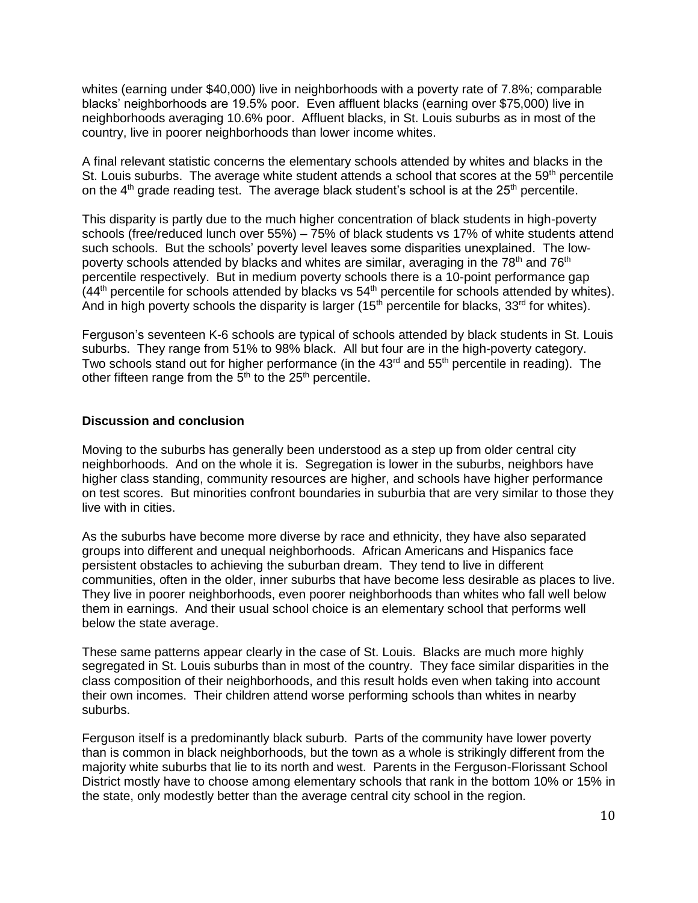whites (earning under \$40,000) live in neighborhoods with a poverty rate of 7.8%; comparable blacks' neighborhoods are 19.5% poor. Even affluent blacks (earning over \$75,000) live in neighborhoods averaging 10.6% poor. Affluent blacks, in St. Louis suburbs as in most of the country, live in poorer neighborhoods than lower income whites.

A final relevant statistic concerns the elementary schools attended by whites and blacks in the St. Louis suburbs. The average white student attends a school that scores at the 59<sup>th</sup> percentile on the  $4<sup>th</sup>$  grade reading test. The average black student's school is at the  $25<sup>th</sup>$  percentile.

This disparity is partly due to the much higher concentration of black students in high-poverty schools (free/reduced lunch over 55%) – 75% of black students vs 17% of white students attend such schools. But the schools' poverty level leaves some disparities unexplained. The lowpoverty schools attended by blacks and whites are similar, averaging in the  $78<sup>th</sup>$  and  $76<sup>th</sup>$ percentile respectively. But in medium poverty schools there is a 10-point performance gap  $(44<sup>th</sup>$  percentile for schools attended by blacks vs  $54<sup>th</sup>$  percentile for schools attended by whites). And in high poverty schools the disparity is larger ( $15<sup>th</sup>$  percentile for blacks,  $33<sup>rd</sup>$  for whites).

Ferguson's seventeen K-6 schools are typical of schools attended by black students in St. Louis suburbs. They range from 51% to 98% black. All but four are in the high-poverty category. Two schools stand out for higher performance (in the  $43<sup>rd</sup>$  and  $55<sup>th</sup>$  percentile in reading). The other fifteen range from the  $5<sup>th</sup>$  to the  $25<sup>th</sup>$  percentile.

#### **Discussion and conclusion**

Moving to the suburbs has generally been understood as a step up from older central city neighborhoods. And on the whole it is. Segregation is lower in the suburbs, neighbors have higher class standing, community resources are higher, and schools have higher performance on test scores. But minorities confront boundaries in suburbia that are very similar to those they live with in cities.

As the suburbs have become more diverse by race and ethnicity, they have also separated groups into different and unequal neighborhoods. African Americans and Hispanics face persistent obstacles to achieving the suburban dream. They tend to live in different communities, often in the older, inner suburbs that have become less desirable as places to live. They live in poorer neighborhoods, even poorer neighborhoods than whites who fall well below them in earnings. And their usual school choice is an elementary school that performs well below the state average.

These same patterns appear clearly in the case of St. Louis. Blacks are much more highly segregated in St. Louis suburbs than in most of the country. They face similar disparities in the class composition of their neighborhoods, and this result holds even when taking into account their own incomes. Their children attend worse performing schools than whites in nearby suburbs.

Ferguson itself is a predominantly black suburb. Parts of the community have lower poverty than is common in black neighborhoods, but the town as a whole is strikingly different from the majority white suburbs that lie to its north and west. Parents in the Ferguson-Florissant School District mostly have to choose among elementary schools that rank in the bottom 10% or 15% in the state, only modestly better than the average central city school in the region.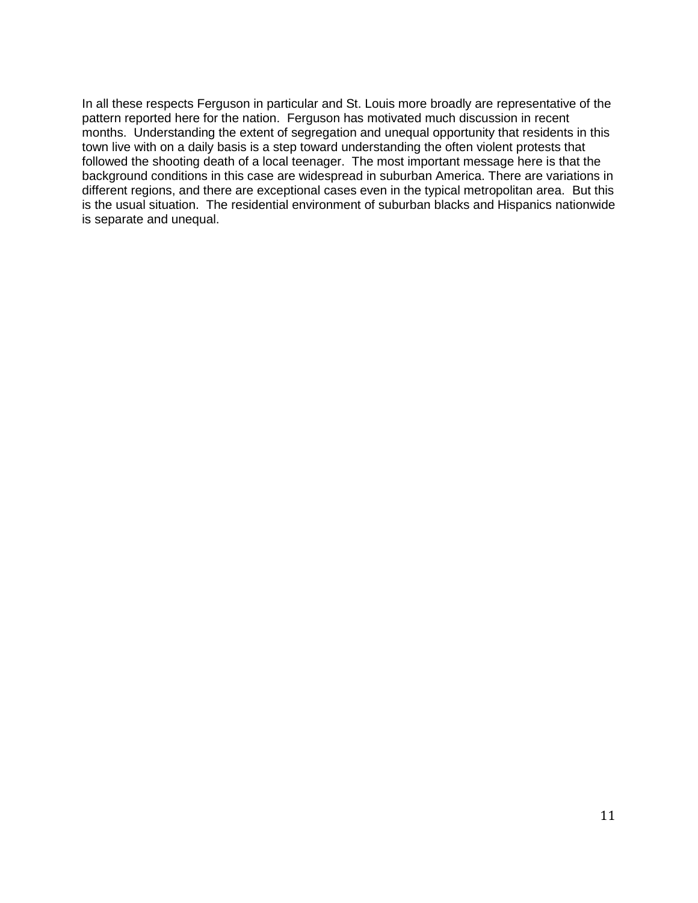In all these respects Ferguson in particular and St. Louis more broadly are representative of the pattern reported here for the nation. Ferguson has motivated much discussion in recent months. Understanding the extent of segregation and unequal opportunity that residents in this town live with on a daily basis is a step toward understanding the often violent protests that followed the shooting death of a local teenager. The most important message here is that the background conditions in this case are widespread in suburban America. There are variations in different regions, and there are exceptional cases even in the typical metropolitan area. But this is the usual situation. The residential environment of suburban blacks and Hispanics nationwide is separate and unequal.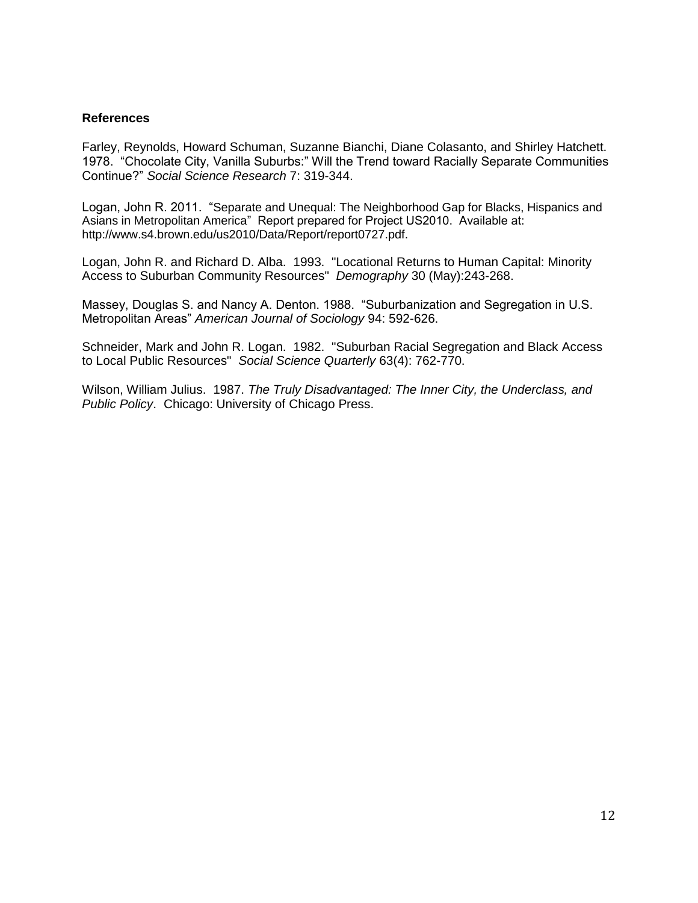#### **References**

Farley, Reynolds, Howard Schuman, Suzanne Bianchi, Diane Colasanto, and Shirley Hatchett. 1978. "Chocolate City, Vanilla Suburbs:" Will the Trend toward Racially Separate Communities Continue?" *Social Science Research* 7: 319-344.

Logan, John R. 2011. "Separate and Unequal: The Neighborhood Gap for Blacks, Hispanics and Asians in Metropolitan America" Report prepared for Project US2010. Available at: http://www.s4.brown.edu/us2010/Data/Report/report0727.pdf.

Logan, John R. and Richard D. Alba. 1993. "Locational Returns to Human Capital: Minority Access to Suburban Community Resources" *Demography* 30 (May):243-268.

Massey, Douglas S. and Nancy A. Denton. 1988. "Suburbanization and Segregation in U.S. Metropolitan Areas" *American Journal of Sociology* 94: 592-626.

Schneider, Mark and John R. Logan. 1982. "Suburban Racial Segregation and Black Access to Local Public Resources" *Social Science Quarterly* 63(4): 762-770.

Wilson, William Julius. 1987. *The Truly Disadvantaged: The Inner City, the Underclass, and Public Policy*. Chicago: University of Chicago Press.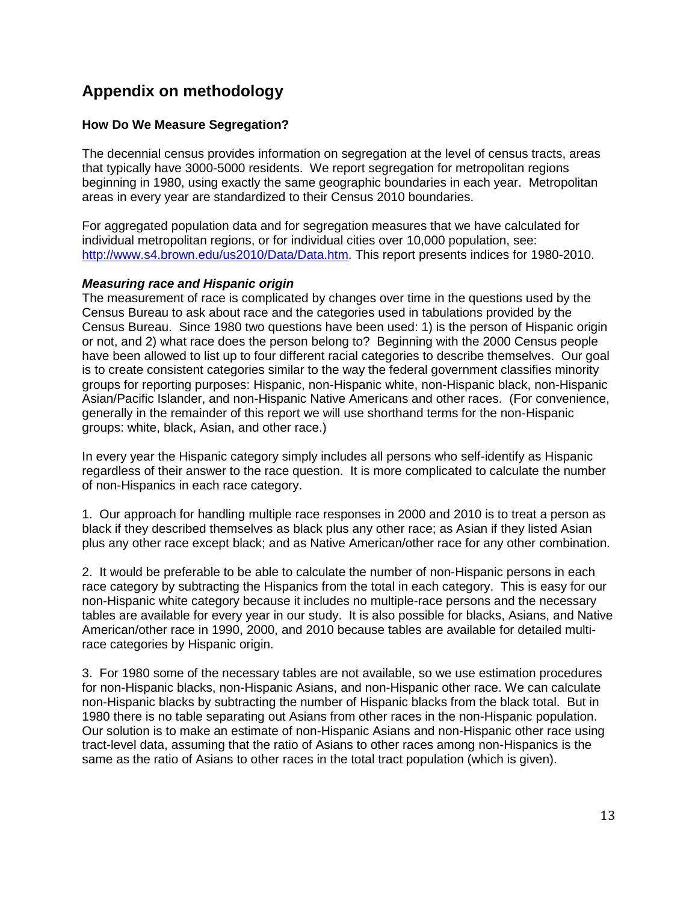# **Appendix on methodology**

## **How Do We Measure Segregation?**

The decennial census provides information on segregation at the level of census tracts, areas that typically have 3000-5000 residents. We report segregation for metropolitan regions beginning in 1980, using exactly the same geographic boundaries in each year. Metropolitan areas in every year are standardized to their Census 2010 boundaries.

For aggregated population data and for segregation measures that we have calculated for individual metropolitan regions, or for individual cities over 10,000 population, see: [http://www.s4.brown.edu/us2010/Data/Data.htm.](http://www.s4.brown.edu/us2010/Data/Data.htm) This report presents indices for 1980-2010.

#### *Measuring race and Hispanic origin*

The measurement of race is complicated by changes over time in the questions used by the Census Bureau to ask about race and the categories used in tabulations provided by the Census Bureau. Since 1980 two questions have been used: 1) is the person of Hispanic origin or not, and 2) what race does the person belong to? Beginning with the 2000 Census people have been allowed to list up to four different racial categories to describe themselves. Our goal is to create consistent categories similar to the way the federal government classifies minority groups for reporting purposes: Hispanic, non-Hispanic white, non-Hispanic black, non-Hispanic Asian/Pacific Islander, and non-Hispanic Native Americans and other races. (For convenience, generally in the remainder of this report we will use shorthand terms for the non-Hispanic groups: white, black, Asian, and other race.)

In every year the Hispanic category simply includes all persons who self-identify as Hispanic regardless of their answer to the race question. It is more complicated to calculate the number of non-Hispanics in each race category.

1. Our approach for handling multiple race responses in 2000 and 2010 is to treat a person as black if they described themselves as black plus any other race; as Asian if they listed Asian plus any other race except black; and as Native American/other race for any other combination.

2. It would be preferable to be able to calculate the number of non-Hispanic persons in each race category by subtracting the Hispanics from the total in each category. This is easy for our non-Hispanic white category because it includes no multiple-race persons and the necessary tables are available for every year in our study. It is also possible for blacks, Asians, and Native American/other race in 1990, 2000, and 2010 because tables are available for detailed multirace categories by Hispanic origin.

3. For 1980 some of the necessary tables are not available, so we use estimation procedures for non-Hispanic blacks, non-Hispanic Asians, and non-Hispanic other race. We can calculate non-Hispanic blacks by subtracting the number of Hispanic blacks from the black total. But in 1980 there is no table separating out Asians from other races in the non-Hispanic population. Our solution is to make an estimate of non-Hispanic Asians and non-Hispanic other race using tract-level data, assuming that the ratio of Asians to other races among non-Hispanics is the same as the ratio of Asians to other races in the total tract population (which is given).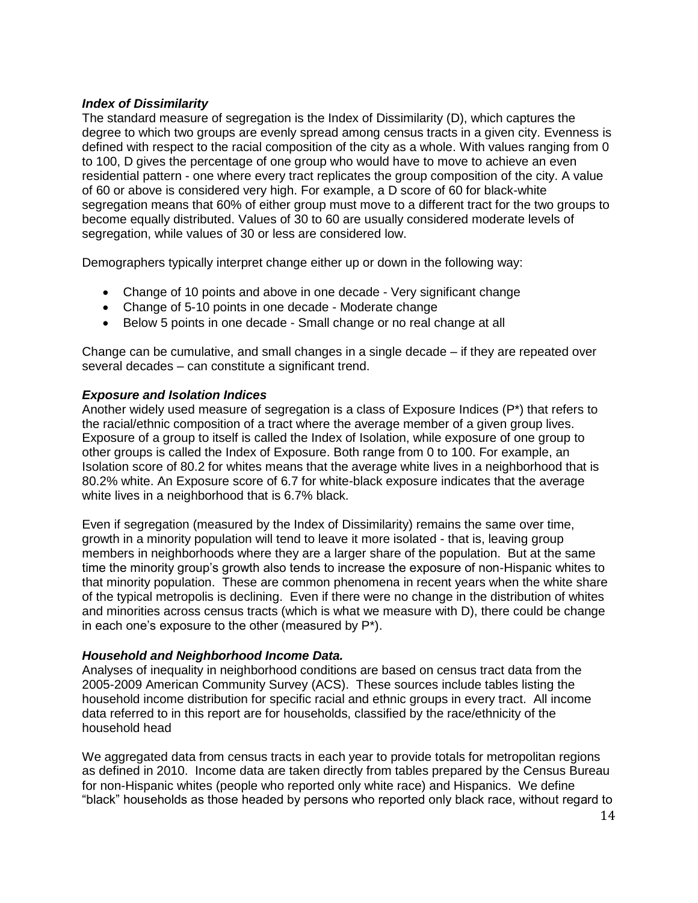#### *Index of Dissimilarity*

The standard measure of segregation is the Index of Dissimilarity (D), which captures the degree to which two groups are evenly spread among census tracts in a given city. Evenness is defined with respect to the racial composition of the city as a whole. With values ranging from 0 to 100, D gives the percentage of one group who would have to move to achieve an even residential pattern - one where every tract replicates the group composition of the city. A value of 60 or above is considered very high. For example, a D score of 60 for black-white segregation means that 60% of either group must move to a different tract for the two groups to become equally distributed. Values of 30 to 60 are usually considered moderate levels of segregation, while values of 30 or less are considered low.

Demographers typically interpret change either up or down in the following way:

- Change of 10 points and above in one decade Very significant change
- Change of 5-10 points in one decade Moderate change
- Below 5 points in one decade Small change or no real change at all

Change can be cumulative, and small changes in a single decade – if they are repeated over several decades – can constitute a significant trend.

#### *Exposure and Isolation Indices*

Another widely used measure of segregation is a class of Exposure Indices (P\*) that refers to the racial/ethnic composition of a tract where the average member of a given group lives. Exposure of a group to itself is called the Index of Isolation, while exposure of one group to other groups is called the Index of Exposure. Both range from 0 to 100. For example, an Isolation score of 80.2 for whites means that the average white lives in a neighborhood that is 80.2% white. An Exposure score of 6.7 for white-black exposure indicates that the average white lives in a neighborhood that is 6.7% black.

Even if segregation (measured by the Index of Dissimilarity) remains the same over time, growth in a minority population will tend to leave it more isolated - that is, leaving group members in neighborhoods where they are a larger share of the population. But at the same time the minority group's growth also tends to increase the exposure of non-Hispanic whites to that minority population. These are common phenomena in recent years when the white share of the typical metropolis is declining. Even if there were no change in the distribution of whites and minorities across census tracts (which is what we measure with D), there could be change in each one's exposure to the other (measured by P\*).

#### *Household and Neighborhood Income Data.*

Analyses of inequality in neighborhood conditions are based on census tract data from the 2005-2009 American Community Survey (ACS). These sources include tables listing the household income distribution for specific racial and ethnic groups in every tract. All income data referred to in this report are for households, classified by the race/ethnicity of the household head

We aggregated data from census tracts in each year to provide totals for metropolitan regions as defined in 2010. Income data are taken directly from tables prepared by the Census Bureau for non-Hispanic whites (people who reported only white race) and Hispanics. We define "black" households as those headed by persons who reported only black race, without regard to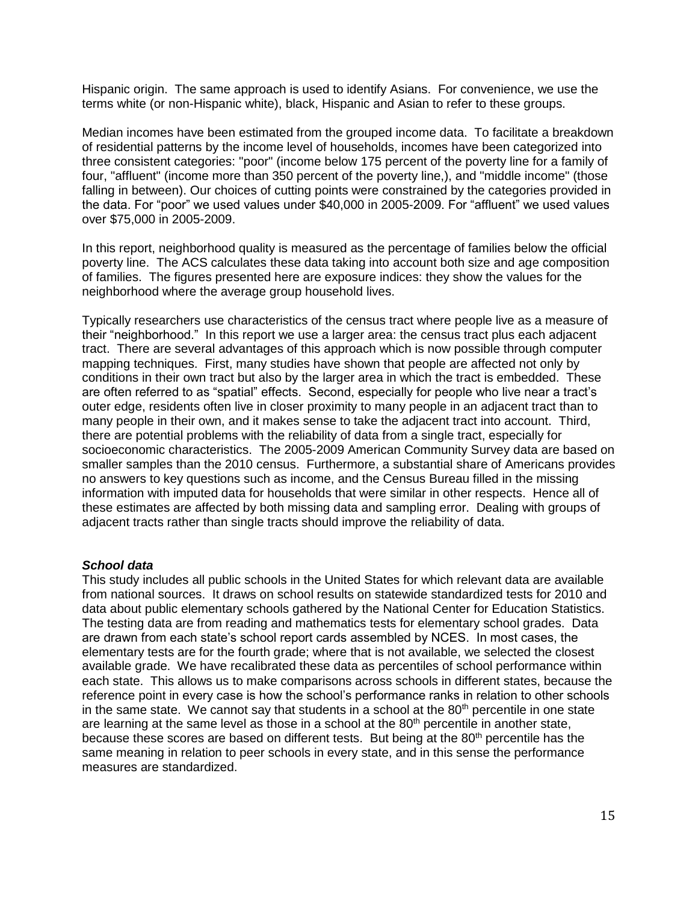Hispanic origin. The same approach is used to identify Asians. For convenience, we use the terms white (or non-Hispanic white), black, Hispanic and Asian to refer to these groups.

Median incomes have been estimated from the grouped income data. To facilitate a breakdown of residential patterns by the income level of households, incomes have been categorized into three consistent categories: "poor" (income below 175 percent of the poverty line for a family of four, "affluent" (income more than 350 percent of the poverty line,), and "middle income" (those falling in between). Our choices of cutting points were constrained by the categories provided in the data. For "poor" we used values under \$40,000 in 2005-2009. For "affluent" we used values over \$75,000 in 2005-2009.

In this report, neighborhood quality is measured as the percentage of families below the official poverty line. The ACS calculates these data taking into account both size and age composition of families. The figures presented here are exposure indices: they show the values for the neighborhood where the average group household lives.

Typically researchers use characteristics of the census tract where people live as a measure of their "neighborhood." In this report we use a larger area: the census tract plus each adjacent tract. There are several advantages of this approach which is now possible through computer mapping techniques. First, many studies have shown that people are affected not only by conditions in their own tract but also by the larger area in which the tract is embedded. These are often referred to as "spatial" effects. Second, especially for people who live near a tract's outer edge, residents often live in closer proximity to many people in an adjacent tract than to many people in their own, and it makes sense to take the adjacent tract into account. Third, there are potential problems with the reliability of data from a single tract, especially for socioeconomic characteristics. The 2005-2009 American Community Survey data are based on smaller samples than the 2010 census. Furthermore, a substantial share of Americans provides no answers to key questions such as income, and the Census Bureau filled in the missing information with imputed data for households that were similar in other respects. Hence all of these estimates are affected by both missing data and sampling error. Dealing with groups of adjacent tracts rather than single tracts should improve the reliability of data.

#### *School data*

This study includes all public schools in the United States for which relevant data are available from national sources. It draws on school results on statewide standardized tests for 2010 and data about public elementary schools gathered by the National Center for Education Statistics. The testing data are from reading and mathematics tests for elementary school grades. Data are drawn from each state's school report cards assembled by NCES. In most cases, the elementary tests are for the fourth grade; where that is not available, we selected the closest available grade. We have recalibrated these data as percentiles of school performance within each state. This allows us to make comparisons across schools in different states, because the reference point in every case is how the school's performance ranks in relation to other schools in the same state. We cannot say that students in a school at the  $80<sup>th</sup>$  percentile in one state are learning at the same level as those in a school at the  $80<sup>th</sup>$  percentile in another state, because these scores are based on different tests. But being at the  $80<sup>th</sup>$  percentile has the same meaning in relation to peer schools in every state, and in this sense the performance measures are standardized.